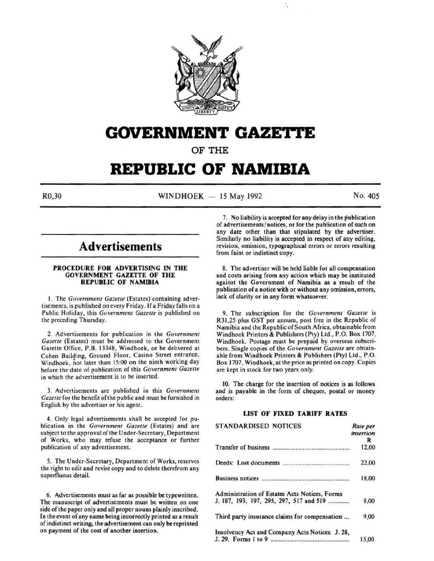

# **GOVERNMENT GAZETTE**

OF THE

# **REPUBLIC OF NAMIBIA**

R0,30 WINDHOEK - 15 May 1992 No. 405

# **Advertisements**

#### PROCEDURE FOR ADVERTISING IN THE GOVERNMENT GAZETTE OF THE REPUBLIC OF NAMIBIA

I. The *Government Gazette* (Estates) containing advertisements, is published on every Friday. If a Friday falls on a Public Holiday, this *Government Gazette* is published on the preceding Thursday.

2. Advertisements for publication in the *Government Gazette* (Estates) must be addressed to the Government Gazette Office, P.B. 13348, Windhoek, or be delivered at Cohen Building, Ground Floor, Casino Street entrance, Windhoek, not later than 15:00 on the ninth working day before the date of publication of this *Government Gazette*  in which the advertisement is to be inserted.

3. Advertisements are published in this *Government Gazette* for the benefit of the public and must be furnished in English by the advertiser or his agent.

4. Only legal advertisements shall be accepted for publication in the *Government Gazelle* (Estates) and are subject to the approval of the Under-Secretary, Department of Works, who may refuse the acceptance or further publication of any advertisement.

*5.* The Under-Secretary, Department of Works, reserves the right to edit and revise copy and to delete therefrom any superfluous detail.

6. Advertisements must as far as possible be typewritten. The manuscript of advertisements must be written on one side of the paper only and all proper nouns plainly inscribed. In the event of any name being incorrectly printed as a result of indistinct writing, the advertisement can only be reprinted on payment of the cost of another insertion.

7. No liability is accepted for any delay in the publication of advertisements/ notices, or for the publication of such on any date other than that stipulated by the advertiser. Similarly no liability is accepted in respect of any editing, revision, omission, typographical errors or errors resulting from faint or indistinct copy.

8. The advertiser will be held liable for all compensation and costs arising from any action which may be instituted against the Government of Namibia as a result of the publication of a notice with or without any omission, errors, lack of clarity or in any form whatsoever.

9. The subscription for the *Government Gazelle* is R31,25 plus GST per annum, post free in the Republic of Namibia and the Republic of South Africa, obtainable from Windhoek Printers & Publishers (Pty) Ltd., P.O. Box 1707, Windhoek. Postage must be prepaid by overseas subscribers. Single copies of the *Government Gazette* are obtainable from Windhoek Printers & Publishers (Pty) Ltd., P.O. Box 1707, Windhoek, at the price as printed on copy. Copies are kept in stock for two years only.

10. The charge for the insertion of notices is as follows and is payable in the form of cheques, postal or money orders:

#### LIST OF FIXED TARIFF RATES

| <b>STANDARDISED NOTICES</b>                     | Rate per  |
|-------------------------------------------------|-----------|
|                                                 | insertion |
|                                                 | R         |
|                                                 | 12,00     |
|                                                 | 22,00     |
|                                                 | 18,00     |
| Administration of Estates Acts Notices, Forms   |           |
| J. 187, 193, 197, 295, 297, 517 and 519         | 8,00      |
| Third party insurance claims for compensation   | 9,00      |
| Insolvency Act and Company Acts Notices: J. 28, |           |
|                                                 | 15.00     |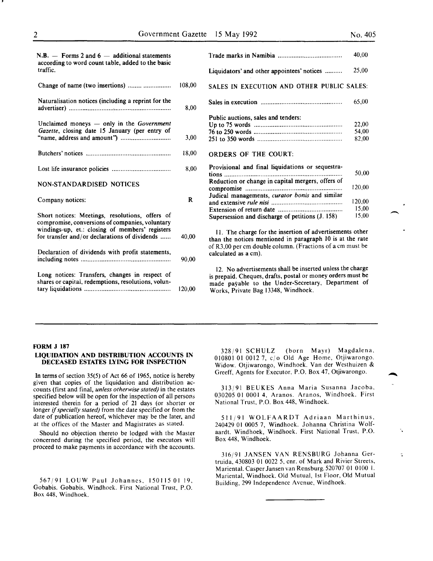| $N.B.$ — Forms 2 and 6 — additional statements<br>according to word count table, added to the basic   |        | Trade mai                                              |
|-------------------------------------------------------------------------------------------------------|--------|--------------------------------------------------------|
| traffic.                                                                                              |        | Liquidato                                              |
| Change of name (two insertions)                                                                       | 108,00 | <b>SALES IN</b>                                        |
| Naturalisation notices (including a reprint for the                                                   | 8.00   | Sales in ex                                            |
| Unclaimed moneys $-$ only in the Government<br>Gazette, closing date 15 January (per entry of         | 3,00   | Public aud<br>Up to $753$<br>76 to 250 ·<br>251 to 350 |
|                                                                                                       | 18,00  | ORDERS                                                 |
|                                                                                                       | 8,00   | Provision<br>$tions$                                   |
| NON-STANDARDISED NOTICES                                                                              |        | Reduction<br>compromi                                  |
| Company notices:                                                                                      | R      | Judical m<br>and exten:                                |
| Short notices: Meetings, resolutions, offers of<br>compromise, conversions of companies, voluntary    |        | Extension<br>Supersessi                                |
| windings-up, et.: closing of members' registers<br>for transfer and/or declarations of dividends      | 40,00  | 11. The<br>than the r                                  |
| Declaration of dividends with profit statements,                                                      | 90,00  | of R3,00 p<br>calculated                               |
| Long notices: Transfers, changes in respect of<br>shares or capital, redemptions, resolutions, volun- | 120,00 | 12. No.<br>is prepaid<br>made pay<br>Works, P          |
|                                                                                                       |        |                                                        |

|                                                   | 40,00  |
|---------------------------------------------------|--------|
| Liquidators' and other appointees' notices        | 25,00  |
| SALES IN EXECUTION AND OTHER PUBLIC SALES:        |        |
|                                                   | 65,00  |
| Public auctions, sales and tenders:               |        |
|                                                   | 22,00  |
|                                                   | 54,00  |
|                                                   | 82,00  |
| ORDERS OF THE COURT.                              |        |
| Provisional and final liquidations or sequestra-  |        |
|                                                   | 50,00  |
| Reduction or change in capital mergers, offers of |        |
|                                                   | 120,00 |
| Judical managements, curator bonis and similar    |        |
|                                                   | 120,00 |
|                                                   | 15,00  |
| Supersession and discharge of petitions (J. 158)  | 15,00  |

e charge for the insertion of advertisements other notices mentioned in paragraph 10 is at the rate er cm double column. (Fractions of a cm must be as a cm).

advertisements shall be inserted unless the charge Cheques, drafts, postal or money orders must be yable to the Under-Secretary, Department of rivate Bag 13348, Windhoek.

#### FORM J 187

#### LIQUIDATION AND DISTRIBUTION ACCOUNTS IN DECEASED ESTATES LYING FOR INSPECTION

In terms of section 35(5) of Act 66 of 1965, notice is hereby given that copies of the liquidation and distribution accounts (first and final, *unless otherwise stated)* in the estates specified below will be open for the inspection of all persons interested therein for a period of 21 days (or shorter or longer if *specially stated)* from the date specified or from the date of publication hereof, whichever may be the later, and at the offices of the Master and Magistrates as stated.

Should no objection thereto be lodged with the Master concerned during the specified period, the executors will proceed to make payments in accordance with the accounts.

567/91 LOUW Paul Johannes, 1501150119, Gobabis. Gobabis, Windhoek. First National Trust, P.O. Box 448, Windhoek.

328/91 SCHULZ (born Mayr) Magdalena, 010801 01 0012 7, c/o Old Age Home, Otjiwarongo. Widow. Otjiwarongo, Windhoek. Van der Westhuizen & Greeff, Agents for Executor, P.O. Box 47, Otjiwarongo.

313/91 BEUKES Anna Maria Susanna Jacoba, 030205 01 0001 4, Aranos. Aranos, Windhoek. First National Trust, P.O. Box 448, Windhoek.

511/91 WOLFAARDT Adriaan Marthinus, 240429 01 0005 7, Windhoek. Johanna Christina Wolfaardt. Windhoek, Windhoek. First National Trust, P.O. Box 448, Windhoek.

316/91 JANSEN VAN RENSBURG Johanna Gertruida, 430803 01 0022 5, cnr. of Mark and Rivier Streets, Mariental. Casper Jansen van Rensburg. 520707 01 0100 1. Mariental, Windhoek. Old Mutual, 1st Floor, Old Mutual Building, 299 Independence Avenue, Windhoek.

 $\overline{a}$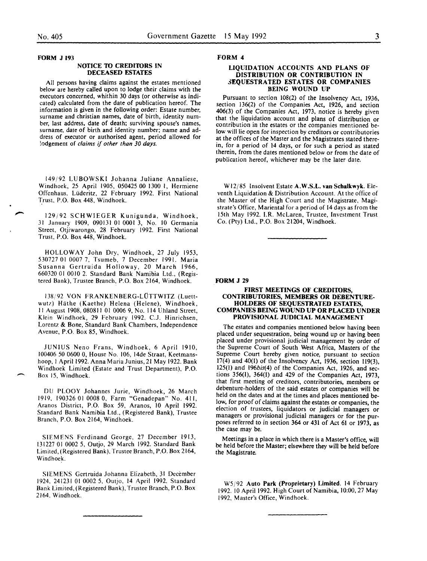$\overline{\phantom{a}}$ 

FORM J 193

#### NOTICE TO CREDITORS IN DECEASED ESTATES

All persons having claims against the estates mentioned below are hereby called upon to lodge their claims with the executors concerned, whithin 30 days (or otherwise as indicated) calculated from the date of publication hereof. The information is given in the following order: Estate number, surname and christian names, date of birth, identity number, last address, date of death; surviving spouse's names, surname, date of birth and identity number; name and address of executor or authorised agent, period allowed for !odgement of *claims* if *other than 30 days.* 

149/92 LUBOWSKI Johanna Juliane Annaliese, Windhoek, 25 April 1905, 050425 00 1300 I, Hermiene Offenhaus, Liideritz, 22 February 1992. First National Trust, P.O. Box 448, Windhoek.

129/92 SCHWIEGER Kunigunda, Windhoek, 31 January 1909, 090131 01 0001 3, No. 10 Germania Street, Otjiwarongo, 28 February 1992. First National Trust, P.O. Box 448, Windhoek.

HOLLOWAY John Dry, Windhoek, 27 July 1953, 530727 OJ 0007 7, Tsumeb, 7 December 1991. Maria Susanna Gertruida Holloway, 20 March 1966, 660320 01 0010 2. Standard Bank Namibia Ltd., (Registered Bank), Trustee Branch, P.O. Box 2164, Windhoek.

138/92 VON FRANKENBERG-L0TTWITZ (Luettwutz) Häthe (Kaethe) Helena (Helene), Windhoek, II August 1908,080811 01 0006 9, No. 114 Uhland Street, Klein Windhoek, 29 February 1992. C.J. Hinrichsen, Lorentz & Bone, Standard Bank Chambers, Independence Avenue, P.O. Box 85, Windhoek.

JUNIUS Neno Frans, Windhoek, 6 April 1910, 100406 50 0600 0, House No. 106, 14de Straat, Keetmanshoop, I April 1992. Anna Maria Junius, 21 May 1922. Bank Windhoek Limited (Estate and Trust Department), P.O. Box 15, Windhoek.

DU PLOOY Johannes Jurie, Windhoek, 26 March 1919, 190326 01 0008 0, Farm "Genadepan" No. 411, Aranos District, P.O. Box 59, Aranos, 10 April 1992. Standard Bank Namibia Ltd., (Registered Bank), Trustee Branch, P.O. Box 2164, Windhoek.

SIEMENS Ferdinand George, 27 December 1913, 131227 01 0002 5, Outjo, 29 March 1992. Standard Bank Limited, (Registered Bank), Trustee Branch, P.O. Box 2164, Windhoek.

SIEMENS Gertruida Johanna Elizabeth, 31 December 1924, 241231 01 0002 5, Outjo, 14 April 1992. Standard Bank Limited,(Registered Bank), Trustee Branch, P.O. Box 2164, Windhoek.

#### FORM 4

#### LIQUIDATION ACCOUNTS AND PLANS OF DISTRIBUTION OR CONTRIBUTION IN SEQUESTRATED ESTATES OR COMPANIES BEING WOUND UP

Pursuant to section 108(2) of the Insolvency Act, 1936, section 136(2) of the Companies Act, 1926, and section 406(3) of the Companies Act, 1973, notice is hereby given that the liquidation account and plans of distribution or contribution in the estates or the companies mentioned below will lie open for inspection by creditors or contributories at the offices of the Master and the Magistrates stated therein, for a period of 14 days, or for such a period as stated therein, from the dates mentioned below or from the date of publication hereof, whichever may be the later date.

Wl2/85 Insolvent Estate A.W.S.L. van Schalkwyk. Eleventh Liquidation & Distribution Account. At the office of the Master of the High Court and the Magistrate, Magistrate's Office, Mariental for a period of 14 days as from the 15th May 1992. I.R. Mclaren, Trustee, Investment Trust Co. (Pty) Ltd., P.O. Box 21204, Windhoek.

#### FORM J 29

#### FIRST MEETINGS OF CREDITORS. CONTRIBUTORIES, MEMBERS OR DEBENTURE-HOLDERS OF SEQUESTRATED ESTATES, COMPANIES BEING WOUND UP OR PLACED UNDER PROVISIONAL JUDICIAL MANAGEMENT

The estates and companies mentioned below having been placed under sequestration, being wound up or having been placed under provisional judicial management by order of the Supreme Court of South West Africa, Masters of the Supreme Court hereby given notice, pursuant to section 17(4) and 40(1) of the Insolvency Act, 1936, section 119(3), 125(1) and 196bis(4) of the Companies Act, 1926, and sections 356(1), 364(1) and 429 of the Companies Act, 1973, that first meeting of creditors, contributories, members or debenture-holders of the said estates or companies will be held on the dates and at the times and places mentioned below, for proof of claims against the estates or companies, the election of trustees, liquidators or judicial managers or managers or provisional judicial managers or for the purposes referred to in section 364 or 431 of Act 61 or 1973, as the case may be.

Meetings in a place in which there is a Master's office, will be held before the Master; elsewhere they will be held before the Magistrate.

WS/92 Auto Park (Proprietary) Limited. 14 February 1992. 10 April 1992. High Court of Namibia, 10:00, 27 May 1992, Master's Office, Windhoek.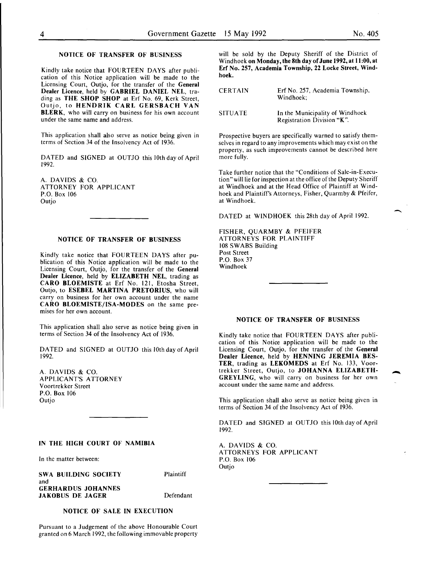-

-

# NOTICE OF TRANSFER OF BUSINESS

Kindly take notice that FOURTEEN DAYS after publication of this Notice application will be made to the Licensing Court, Outjo, for the transfer of the General Dealer Licence, held by GABRIEL DANIEL NEL, trading as THE SHOP SHOP at Erf No. 69, Kerk Street, Outjo, to HENDRIK CARL GERSBACH VAN BLERK, who will carry on business for his own account under the same name and address.

This application shall also serve as notice being given in terms of Section 34 of the Insolvency Act of 1936.

DATED and SIGNED at OUTJO this lOth day of April 1992.

A. DAVIDS & CO. ATTORNEY FOR APPLICANT P.O. Box 106 Outjo

### NOTICE OF TRANSFER OF BUSINESS

Kindly take notice that FOURTEEN DAYS after publication of this Notice application will be made to the Licensing Court, Outjo, for the transfer of the General Dealer Licence, held by ELIZABETH NEL, trading as CARO BLOEMISTE at Erf No. 121, Etosha Street, Outjo, to ESEBEL MARTINA PRETORIUS, who will carry on business for her own account under the name CARO BLOEMISTE/ISA-MODES on the same premises for her own account.

This application shall also serve as notice being given in terms of Section 34 of the Insolvency Act of 1936.

DATED and SIGNED at OUTJO this lOth day of April 1992.

A. DAVIDS & CO. APPLICANT'S ATTORNEY Voortrekker Street P.O. Box 106 Outjo

# IN THE HIGH COURT OF NAMIBIA A. DAVIDS & CO.

In the matter between:

SWA BUILDING SOCIETY Plaintiff and **GERHARDUS JOHANNES** JAKOBUS DE JAGER Defendant

NOTICE OF SALE IN EXECUTION

Pursuant to a Judgement of the above Honourable Court granted on 6 March 1992, the following immovable property will be sold by the Deputy Sheriff of the District of Windhoek on Monday, the 8th day of June 1992, at 11:00, at Erf No. 257, Academia Township, 22 Locke Street, Windhoek.

| <b>CERTAIN</b> | Erf No. 257, Academia Township,<br>Windhoek:                  |
|----------------|---------------------------------------------------------------|
| <b>SITUATE</b> | In the Municipality of Windhoek<br>Registration Division "K". |

Prospective buyers are specifically warned to satisfy themselves in regard to any improvements which may exist on the property, as such improvements cannot be described here more fully.

Take further notice that the "Conditions of Sale-in-Execution" will lie for inspection at the office of the Deputy Sheriff at Windhoek and at the Head Office of Plaintiff at Windhoek and Plaintiff's Attorneys, Fisher, Quarmby & Pfeifer, at Windhoek.

DATED at WINDHOEK this 28th day of April 1992.

FISHER, QUARMBY & PFEIFER ATTORNEYS FOR PLAINTIFF 108 SWABS Building Post Street P.O. Box 37 Windhoek

#### NOTICE OF TRANSFER OF BUSINESS

Kindly take notice that FOURTEEN DAYS after publication of this Notice application will be made to the Licensing Court, Outjo, for the transfer of the General Dealer Licence, held by HENNING JEREMIA BES-TER, trading as LEKOMEDS at Erf No. 133, Voortrekker Street, Outjo, to JOHANNA ELIZABETH-GREYLING, who will carry on business for her own account under the same name and address.

This application shall also serve as notice being given in terms of Section 34 of the Insolvency Act of 1936.

DATED and SIGNED at OUTJO this lOth day of April 1992.

ATTORNEYS FOR APPLICANT<br>P.O. Box 106 Outjo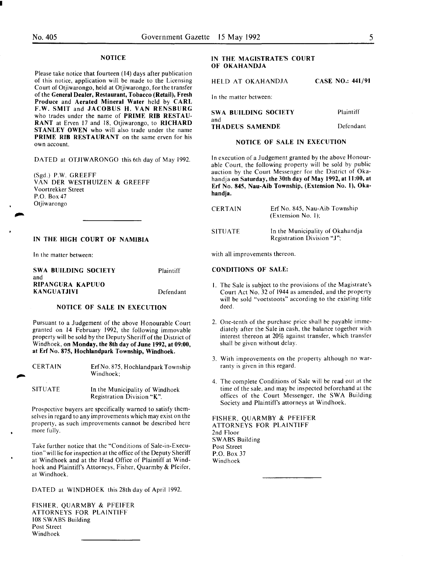I

## **NOTICE**

Please take notice that fourteen (14) days after publication of this notice, application will be made to the Licensing Court of Otjiwarongo, held at Otjiwarongo, for the transfer of the General Dealer, Restaurant, Tobacco (Retail), Fresh Produce and Aerated Mineral Water held by CARL F.W. SMIT and JACOBUS H. VAN RENSBURG who trades under the name of PRIME RIB RESTAU-RANT at Erven 17 and 18, Otjiwarongo, to RICHARD STANLEY OWEN who will also trade under the name PRIME RIB RESTAURANT on the same erven for his own account.

DATED at OTJIWARONGO this 6th day of May 1992.

(Sgd.) P.W. GREEFF VAN DER WESTHUIZEN & GREEFF Voortrekker Street P.O. Box 47 Otjiwarongo

#### IN THE HIGH COURT OF NAMIBIA

In the matter between:

| SWA BUILDING SOCIETY | Plaintiff |
|----------------------|-----------|
| and                  |           |
| RIPANGURA KAPUUO     |           |
| <b>KANGUATJIVI</b>   | Defendant |

# NOTICE OF SALE IN EXECUTION

Pursuant to a Judgement of the above Honourable Court granted on 14 February 1992, the following immovable property will be sold by the Deputy Sheriff of the District of Windhoek, on Monday, the 8th day of June 1992, at 09:00, at Erf No. 875, Hochlandpark Township, Windhoek.

| <b>CERTAIN</b> | Erf No. 875, Hochlandpark Township<br>Windhoek:               |
|----------------|---------------------------------------------------------------|
| <b>SITUATE</b> | In the Municipality of Windhoek<br>Registration Division "K". |

Prospective buyers are specifically warned to satisfy themselves in regard to any improvements which may exist on the property, as such improvements cannot be described here more fully.

Take further notice that the "Conditions of Sale-in-Execution" will lie for inspection at the office of the Deputy Sheriff at Windhoek and at the Head Office of Plaintiff at Windhoek and Plaintiff's Attorneys, Fisher, Quarmby & Pfeifer, at Windhoek.

DATED at WINDHOEK this 28th day of April 1992.

FISHER. QUARMBY & PFEIFER ATTORNEYS FOR PLAINTIFF 108 SWABS Building Post Street Windhoek

#### IN THE MAGISTRATE'S COURT OF OKAHANDJA

HELD AT OKAHANDJA CASE NO.: 441/91

In the matter between:

| SWA BUILDING SOCIETY | Plaintiff |
|----------------------|-----------|
| and                  |           |
| THADEUS SAMENDE      | Defendant |

# NOTICE OF SALE IN EXECUTION

In execution of a Judgement granted by the above Honourable Court, the following property will be sold by public auction by the Court Messenger for the District of Okahandja on Saturday, the 30th day of May 1992, at II :00, at Erf No. 845, Nau-Aib Township, (Extension No. 1), Okahandja.

| <b>CERTAIN</b> | Erf No. 845, Nau-Aib Township<br>(Extension No. 1);            |
|----------------|----------------------------------------------------------------|
| <b>SITUATE</b> | In the Municipality of Okahandja<br>Registration Division "J", |

with all improvements thereon.

#### CONDITIONS OF SALE:

- I. The Sale is subject to the provisions of the Magistrate's Court Act No. 32 of 1944 as amended, and the property will be sold "voetstoots" according to the existing title deed.
- 2. One-tenth of the purchase price shall be payable immediately after the Sale in cash, the balance together with interest thereon at 20% against transfer. which transfer shall be given without delay.
- 3. With improvements on the property although no warranty is given in this regard.
- 4. The complete Conditions of Sale will be read out at the time of the sale, and may be inspected beforehand at the offices of the Court Messenger, the SWA Building Society and Plaintiff's attorneys at Windhoek.

FISHER, QUARMBY & PFEIFER ATTORNEYS FOR PLAINTIFF 2nd Floor SWABS Building Post Street P.O. Box 37 Windhoek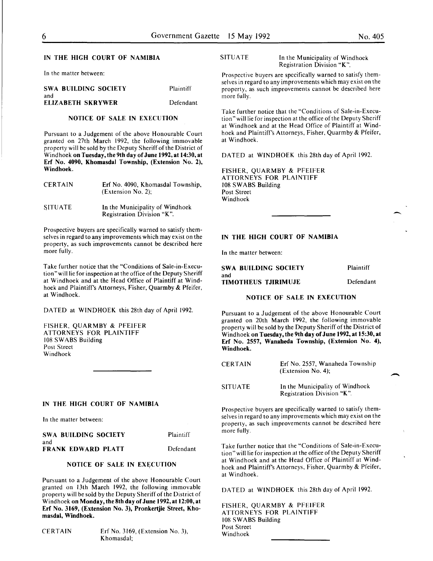-

#### IN THE HIGH COURT OF NAMIBIA

In the matter between:

| <b>SWA BUILDING SOCIETY</b> | Plaintiff |
|-----------------------------|-----------|
| and                         |           |
| <b>ELIZABETH SKRYWER</b>    | Defendant |

#### NOTICE OF SALE IN EXECUTION

Pursuant to a Judgement of the above Honourable Court granted on 27th March 1992, the following immovable property will be sold by the Deputy Sheriff of the District of Windhoek on Tuesday, the 9th day of June 1992, at 14:30, at Erf No. 4090, Khomasdal Township, (Extension No. 2), Windhoek.

| <b>CERTAIN</b> | Erf No. 4090, Khomasdal Township,<br>(Extension No. 2): |
|----------------|---------------------------------------------------------|
| <b>SITUATE</b> | In the Municipality of Windhoek                         |

Registration Division "K".

Prospective buyers are specifically warned to satisfy themselves in regard to any improvements which may exist on the property, as such improvements cannot be described here more fully.

Take further notice that the "Conditions of Sale-in-Execution" will lie for inspection at the office of the Deputy Sheriff at Windhoek and at the Head Office of Plaintiff at Windhoek and Plaintiff's Attorneys, Fisher, Quarmby & Pfeifer, at Windhoek.

DATED at WINDHOEK this 28th day of April 1992.

FISHER, QUARMBY & PFEIFER ATTORNEYS FOR PLAINTIFF 108 SWABS Building Post Street Windhoek

#### IN THE HIGH COURT OF NAMIBIA

In the matter between:

| SWA BUILDING SOCIETY | Plaintiff |
|----------------------|-----------|
| and                  |           |
| FRANK EDWARD PLATT   | Defendant |

# NOTICE OF SALE IN EXECUTION

Pursuant to a Judgement of the above Honourable Court granted on 13th March 1992, the following immovable property will be sold by the Deputy Sheriff of the District of Windhoek on Monday, the 8th day of June 1992, at 12:00, at Erf No. 3169, (Extension No. 3), Pronkertjie Street, Khomasdal, Windhoek.

CERTAIN Erf No. 3169, (Extension No.3), Khomasdal;

#### SITUATE In the Municipality of Windhoek Registration Division "K".

Prospective buyers are specifically warned to satisfy themselves in regard to any improvements which may exist on the property, as such improvements cannot be described here more fully.

Take further notice that the "Conditions of Sale-in-Execution" will lie for inspection at the office of the Deputy Sheriff at Windhoek and at the Head Office of Plaintiff at Windhoek and Plaintiff's Attorneys, Fisher, Quarmby & Pfeifer, at Windhoek.

DATED at WINDHOEK this 28th day of April 1992.

FISHER, QUARMBY & PFEIFER ATTORNEYS FOR PLAINTIFF 108 SWABS Building Post Street Windhoek

#### IN THE HIGH COURT OF NAMIBIA

In the matter between:

| <b>SWA BUILDING SOCIETY</b> | Plaintiff |
|-----------------------------|-----------|
| and                         |           |
| <b>TIMOTHEUS TJIRIMUJE</b>  | Defendant |

### NOTICE OF SALE IN EXECUTION

Pursuant to a Judgement of the above Honourable Court granted on 20th March 1992, the following immovable property will be sold by the Deputy Sheriff of the District of Windhoek on Tuesday, the 9th day of June 1992, at 15:30, at Erf No. 2557, Wanaheda Township, (Extension No. 4), Windhoek.

| <b>CERTAIN</b> | Erf No. 2557, Wanaheda Township<br>(Extension No. 4): |  |
|----------------|-------------------------------------------------------|--|
| <b>SITUATE</b> | In the Municipality of Windhoek                       |  |

In the Municipality of Windhoek Registration Division "K ".

Prospective buyers are specifically warned to satisfy themselves in regard to any improvements which may exist on the property, as such improvements cannot be described here more fully.

Take further notice that the "Conditions of Sale-in-Execution" will lie for inspection at the office of the Deputy Sheriff at Windhoek and at the Head Office of Plaintiff at Windhoek and Plaintiff's Attorneys, Fisher, Quarmby & Pfeifer, at Windhoek.

DATED at WINDHOEK this 28th day of April 1992.

FISHER, QUARMBY & PFEIFER ATTORNEYS FOR PLAINTIFF 108 SWABS Building Post Street Windhoek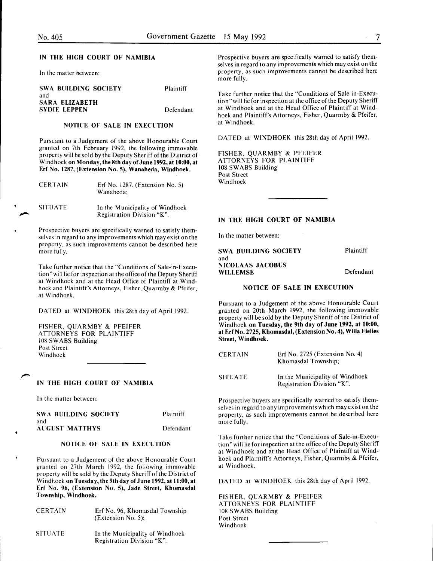| <b>SWA BUILDING SOCIETY</b><br>and    | <b>Plaintiff</b> |
|---------------------------------------|------------------|
| SARA ELIZABETH<br><b>SYDIE LEPPEN</b> | Defendant        |

#### NOTICE OF SALE IN EXECUTION

Pursuant to a Judgement of the above Honourable Court granted on 7th February 1992, the following immovable property will be sold by the Deputy Sheriff of the District of Windhoek on Monday, the 8th day of June 1992, at 10:00,at Erf No. 1287, (Extension No.5), Wanaheda, Windhoek.

| <b>CERTAIN</b> | Erf No. $1287$ , (Extension No. 5)<br>Wanaheda:               |
|----------------|---------------------------------------------------------------|
| <b>SITUATE</b> | In the Municipality of Windhoek<br>Registration Division "K". |

Prospective buyers are specifically warned to satisfy themselves in regard to any improvements which may exist on the property, as such improvements cannot be described here more fully.

Take further notice that the "Conditions of Sale-in-Execution" will lie for inspection at the office of the Deputy Sheriff at Windhoek and at the Head Office of Plaintiff at Windhoek and Plaintiff's Attorneys, Fisher, Quarmby & Pfeifer, at Windhoek.

DATED at WINDHOEK this 28th day of April 1992.

FISHER, QUARMBY & PFEIFER ATTORNEYS FOR PLAINTIFF 108 SWABS Building Post Street Windhoek

#### IN THE HIGH COURT OF NAMIBIA

In the matter between:

| <b>SWA BUILDING SOCIETY</b> | Plaintiff |
|-----------------------------|-----------|
| and                         |           |
| <b>AUGUST MATTHYS</b>       | Defendant |

# NOTICE OF SALE IN EXECUTION

Pursuant to a Judgement of the above Honourable Court granted on 27th March 1992, the following immovable property will be sold by the Deputy Sheriff of the District of Windhoek on Tuesday, the 9th day of June 1992, at 11:00, at Erf No. 96, (Extension No. 5), Jade Street, Khomasdal Township, Windhoek.

| <b>CERTAIN</b> | Erf No. 96, Khomasdal Township<br>$(Extension No. 5)$ :       |
|----------------|---------------------------------------------------------------|
| <b>SITUATE</b> | In the Municipality of Windhoek<br>Registration Division "K". |

IN THE HIGH COURT OF NAMIBIA Prospective buyers are specifically warned to satisfy themselves in regard to any improvements which may exist on the In the matter between: property, as such improvements cannot be described here more fully.

> Take further notice that the "Conditions of Sale-in-Execution" will lie for inspection at the office of the Deputy Sheriff at Windhoek and at the Head Office of Plaintiff at Windhoek and Plaintiff's Attorneys, Fisher, Quarmby & Pfeifer, at Windhoek.

DATED at WINDHOEK this 28th day of April 1992.

FISHER, QUARMBY & PFEIFER ATTORNEYS FOR PLAINTIFF 108 SWABS Building Post Street Windhoek

### IN THE HIGH COURT OF NAMIBIA

In the matter between:

SWA BUILDING SOCIETY and NICOLAAS JACOBUS WILLEMSE Plaintiff Defendant

#### NOTICE OF SALE IN EXECUTION

Pursuant to a Judgement of the above Honourable Court granted on 20th March 1992, the following immovable property will be sold by the Deputy Sheriff of the District of Windhoek on Tuesday, the 9th day of June 1992, at 10:00, at Erf No. 2725, Khomasdal, (Extension No. 4), Willa Fielies Street, Windhoek.

| <b>CERTAIN</b> | Erf No. $2725$ (Extension No. 4)<br>Khomasdal Township;       |  |
|----------------|---------------------------------------------------------------|--|
| <b>SITUATE</b> | In the Municipality of Windhoek<br>Registration Division "K". |  |

Prospective buyers are specifically warned to satisfy themselves in regard to any improvements which may exist on the property, as such improvements cannot be described here more fully.

Take further notice that the "Conditions of Sale-in-Execution" will lie for inspection at the office of the Deputy Sheriff at Windhoek and at the Head Office of Plaintiff at Windhoek and Plaintiff's Attorneys, Fisher, Quarmby & Pfeifer, at Windhoek.

DATED at WINDHOEK this 28th day of April 1992.

FISHER, QUARMBY & PFEIFER ATTORNEYS FOR PLAINTIFF 108 SWABS Building Post Street Windhoek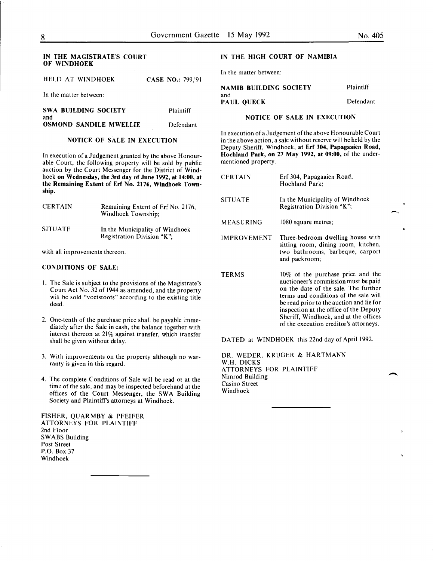#### IN THE MAGISTRATE'S COURT OF WINDHOEK

|  | HELD AT WINDHOEK |  | <b>CASE NO.: 799/91</b> |
|--|------------------|--|-------------------------|
|  |                  |  |                         |

In the matter between:

| <b>SWA BUILDING SOCIETY</b>          | Plaintiff |
|--------------------------------------|-----------|
| and<br><b>OSMOND SANDILE MWELLIE</b> | Defendant |

# NOTICE OF SALE IN EXECUTION

In execution of a Judgement granted by the above Honourable Court, the following property will be sold by public auction by the Court Messenger for the District of Windhoek on Wednesday, the 3rd day of June 1992, at 14:00, at the Remaining Extent of Erf No. 2176, Windhoek Township.

| <b>CERTAIN</b> | Remaining Extent of Erf No. 2176,<br>Windhoek Township:       |
|----------------|---------------------------------------------------------------|
| <b>SITUATE</b> | In the Municipality of Windhoek<br>Registration Division "K"; |

with all improvements thereon.

#### CONDITIONS OF SALE:

- I. The Sale is subject to the provisions of the Magistrate's Court Act No. 32 of 1944 as amended, and the property will be sold "voetstoots" according to the existing title deed.
- 2. One-tenth of the purchase price shall be payable immediately after the Sale in cash, the balance together with interest thereon at 21% against transfer, which transfer shall be given without delay.
- 3. With improvements on the property although no warranty is given in this regard.
- 4. The complete Conditions of Sale will be read ot at the time of the sale, and may be inspected beforehand at the offices of the Court Messenger, the SWA Building Society and Plaintiff's attorneys at Windhoek.

FISHER, QUARMBY & PFEIFER ATTORNEYS FOR PLAINTIFF 2nd Floor SWABS Building Post Street P.O. Box 37 Windhoek

#### IN THE HIGH COURT OF NAMIBIA

In the matter between:

| NAMIB BUILDING SOCIETY   | Plaintiff |
|--------------------------|-----------|
| and<br><b>PAUL OUECK</b> | Defendant |

### NOTICE OF SALE IN EXECUTION

In execution of a Judgement of the above Honourable Court in the above action, a sale without reserve will be held by the Deputy Sheriff, Windhoek, at Erf 304, Papagaaien Road, Hochland Park, on 27 May 1992, at 09:00, of the undermentioned property.

| <b>CERTAIN</b>     | Erf 304, Papagaaien Road,<br>Hochland Park;                                                                                                                                                                                                                                                                                         |
|--------------------|-------------------------------------------------------------------------------------------------------------------------------------------------------------------------------------------------------------------------------------------------------------------------------------------------------------------------------------|
| <b>SITUATE</b>     | In the Municipality of Windhoek<br>Registration Division "K";                                                                                                                                                                                                                                                                       |
| MEASURING          | 1080 square metres;                                                                                                                                                                                                                                                                                                                 |
| <b>IMPROVEMENT</b> | Three-bedroom dwelling house with<br>sitting room, dining room, kitchen,<br>two bathrooms, barbeque, carport<br>and packroom;                                                                                                                                                                                                       |
| <b>TERMS</b>       | 10% of the purchase price and the<br>auctioneer's commission must be paid<br>on the date of the sale. The further<br>terms and conditions of the sale will<br>be read prior to the auction and lie for<br>inspection at the office of the Deputy<br>Sheriff, Windhoek, and at the offices<br>of the execution creditor's attorneys. |

DATED at WINDHOEK this 22nd day of April 1992.

DR. WEDER, KRUGER & HARTMANN W.H. DICKS ATTORNEYS FOR PLAINTIFF Nimrod Building Casino Street Windhoek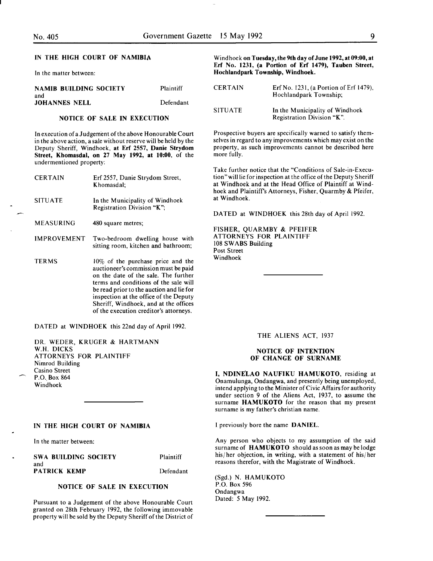### IN THE HIGH COURT OF NAMIBIA

In the matter between:

| NAMIB BUILDING SOCIETY      | Plaintiff |
|-----------------------------|-----------|
| and<br><b>JOHANNES NELL</b> | Defendant |

#### NOTICE OF SALE IN EXECUTION

In execution of a Judgement of the above Honourable Court in the above action, a sale without reserve will be held by the Deputy Sheriff, Windhoek, at Erf 2557, Danie Strydom Street, Khomasdal, on 27 May 1992, at 10:00, of the undermentioned property:

| <b>CERTAIN</b> | Erf 2557, Danie Strydom Street,<br>Khomasdal;                                                                                                                                                                                                                                                                                          |
|----------------|----------------------------------------------------------------------------------------------------------------------------------------------------------------------------------------------------------------------------------------------------------------------------------------------------------------------------------------|
| <b>SITUATE</b> | In the Municipality of Windhoek<br>Registration Division "K";                                                                                                                                                                                                                                                                          |
| MEASURING      | 480 square metres;                                                                                                                                                                                                                                                                                                                     |
| IMPROVEMENT    | Two-bedroom dwelling house with<br>sitting room, kitchen and bathroom;                                                                                                                                                                                                                                                                 |
| <b>TERMS</b>   | $10\%$ of the purchase price and the<br>auctioneer's commission must be paid<br>on the date of the sale. The further<br>terms and conditions of the sale will<br>be read prior to the auction and lie for<br>inspection at the office of the Deputy<br>Sheriff, Windhoek, and at the offices<br>of the execution creditor's attorneys. |

DATED at WINDHOEK this 22nd day of April 1992.

DR. WEDER, KRUGER & HARTMANN W.H. DICKS ATTORNEYS FOR PLAINTIFF Nimrod Building Casino Street P.O., Box 864 Windhoek

### IN THE HIGH COURT OF NAMIBIA

In the matter between:

SWA BUILDING SOCIETY and PATRICK KEMP

Plaintiff Defendant

#### NOTICE OF SALE IN EXECUTION

Pursuant to a Judgement of the above Honourable Court granted on 28th February 1992, the following immovable property will be sold by the Deputy Sheriff of the District of Windhoek on Tuesday, the 9th day of June 1992, at 09:00, at Erf No. 1231, (a Portion of Erf 1479), Tauben Street, Hochlandpark Township, Windhoek.

| <b>CERTAIN</b> | Erf No. 1231, (a Portion of Erf 1479),<br>Hochlandpark Township; |
|----------------|------------------------------------------------------------------|
| <b>SITUATE</b> | In the Municipality of Windhoek<br>Registration Division "K".    |

Prospective buyers are specifically warned to satisfy themselves in regard to any improvements which may exist on the property, as such improvements cannot be described here more fully.

Take further notice that the "Conditions of Sale-in-Execution" will lie for inspection at the office of the Deputy Sheriff at Windhoek and at the Head Office of Plaintiff at Windhoek and Plaintiff's Attorneys, Fisher, Quarmby & Pfeifer, at Windhoek.

DATED at WINDHOEK this 28th day of April 1992.

FISHER, QUARMBY & PFEIFER ATTORNEYS FOR PLAINTIFF 108 SWABS Building Post Street Windhoek

#### THE ALIENS ACT, 1937

#### NOTICE OF INTENTION OF CHANGE OF SURNAME

I, NDINELAO NAUFIKU HAMUKOTO, residing at Onamulunga, Ondangwa, and presently being unemployed, intend applying to the Minister of Civic Affairs for authority under section 9 of the Aliens Act, 1937, to assume the surname HAMUKOTO for the reason that my present surname is my father's christian name.

I previously bore the name DANIEL.

Any person who objects to my assumption of the said surname of HAMUKOTO should as soon as may be lodge his/her objection, in writing, with a statement of his/her reasons therefor, with the Magistrate of Windhoek.

(Sgd.) N. HAMUKOTO P.O. Box 596 Ondangwa Dated: *5* May 1992.